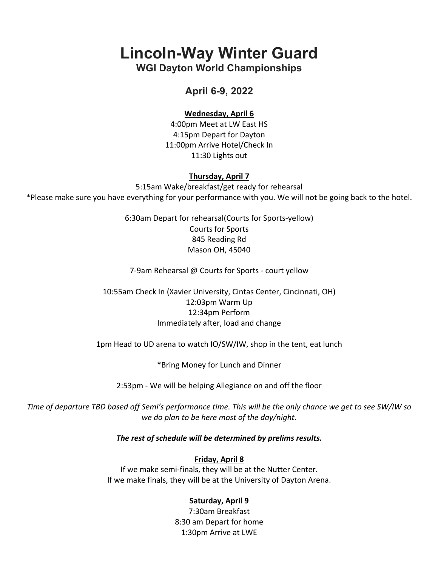**Lincoln-Way Winter Guard**

**WGI Dayton World Championships**

# **April 6-9, 2022**

### **Wednesday, April 6**

4:00pm Meet at LW East HS 4:15pm Depart for Dayton 11:00pm Arrive Hotel/Check In 11:30 Lights out

#### **Thursday, April 7**

5:15am Wake/breakfast/get ready for rehearsal \*Please make sure you have everything for your performance with you. We will not be going back to the hotel.

> 6:30am Depart for rehearsal(Courts for Sports-yellow) Courts for Sports 845 Reading Rd Mason OH, 45040

7-9am Rehearsal @ Courts for Sports - court yellow

10:55am Check In (Xavier University, Cintas Center, Cincinnati, OH) 12:03pm Warm Up 12:34pm Perform Immediately after, load and change

1pm Head to UD arena to watch IO/SW/IW, shop in the tent, eat lunch

\*Bring Money for Lunch and Dinner

2:53pm - We will be helping Allegiance on and off the floor

*Time of departure TBD based off Semi's performance time. This will be the only chance we get to see SW/IW so we do plan to be here most of the day/night.*

#### *The rest of schedule will be determined by prelims results.*

#### **Friday, April 8**

If we make semi-finals, they will be at the Nutter Center. If we make finals, they will be at the University of Dayton Arena.

## **Saturday, April 9**

7:30am Breakfast 8:30 am Depart for home 1:30pm Arrive at LWE